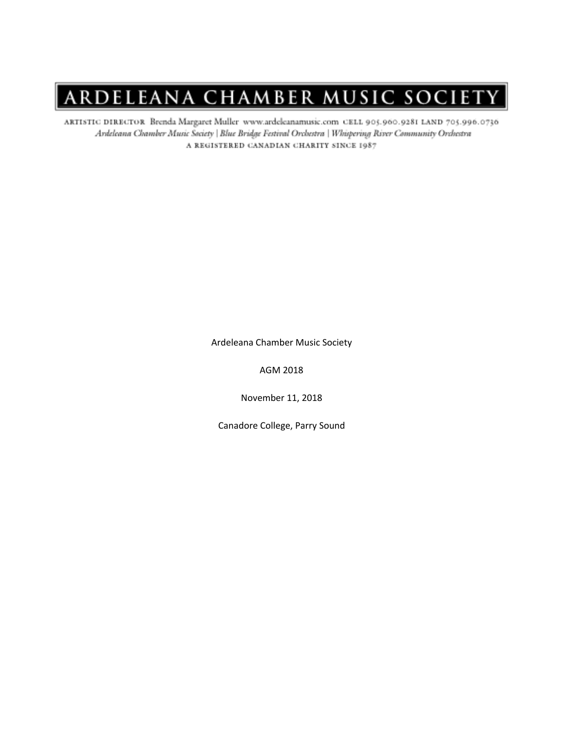ARTISTIC DIRECTOR Brenda Margaret Muller www.ardeleanamusic.com CELL 905.960.9281 LAND 705.996.0736 Ardeleana Chamber Music Society | Blue Bridge Festival Orchestra | Whispering River Community Orchestra A REGISTERED CANADIAN CHARITY SINCE 1987

Ardeleana Chamber Music Society

AGM 2018

November 11, 2018

Canadore College, Parry Sound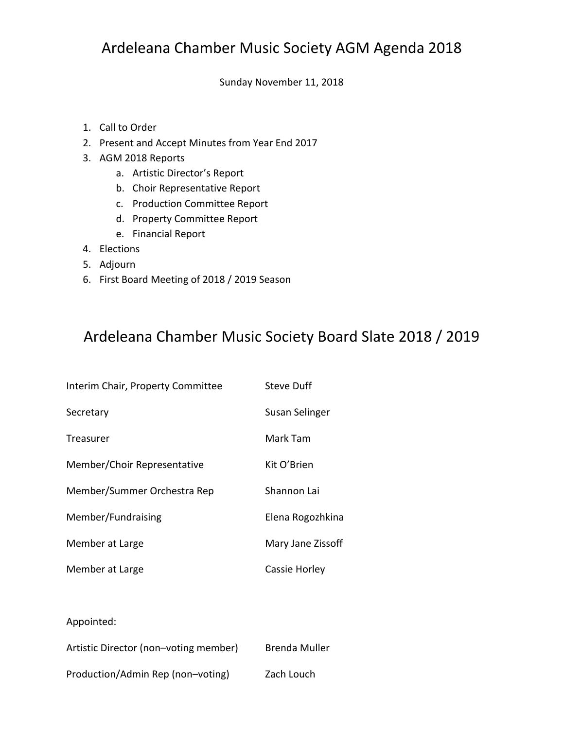## Ardeleana Chamber Music Society AGM Agenda 2018

Sunday November 11, 2018

- 1. Call to Order
- 2. Present and Accept Minutes from Year End 2017
- 3. AGM 2018 Reports
	- a. Artistic Director's Report
	- b. Choir Representative Report
	- c. Production Committee Report
	- d. Property Committee Report
	- e. Financial Report
- 4. Elections
- 5. Adjourn
- 6. First Board Meeting of 2018 / 2019 Season

### Ardeleana Chamber Music Society Board Slate 2018 / 2019

| Interim Chair, Property Committee | Steve Duff        |
|-----------------------------------|-------------------|
| Secretary                         | Susan Selinger    |
| Treasurer                         | Mark Tam          |
| Member/Choir Representative       | Kit O'Brien       |
| Member/Summer Orchestra Rep       | Shannon Lai       |
| Member/Fundraising                | Elena Rogozhkina  |
| Member at Large                   | Mary Jane Zissoff |
| Member at Large                   | Cassie Horley     |
|                                   |                   |

#### Appointed:

| Artistic Director (non-voting member) | Brenda Muller |
|---------------------------------------|---------------|
| Production/Admin Rep (non-voting)     | Zach Louch    |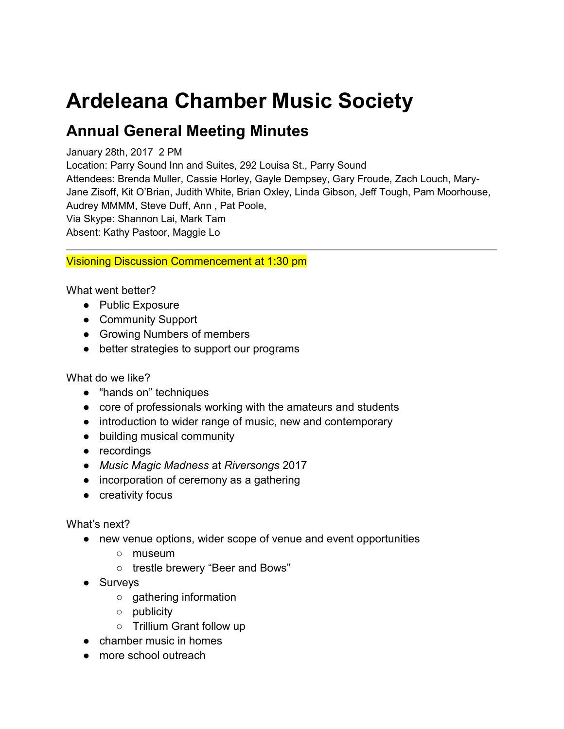# **Ardeleana Chamber Music Society**

# **Annual General Meeting Minutes**

#### January 28th, 2017 2 PM

Location: Parry Sound Inn and Suites, 292 Louisa St., Parry Sound

Attendees: Brenda Muller, Cassie Horley, Gayle Dempsey, Gary Froude, Zach Louch, Mary-Jane Zisoff, Kit O'Brian, Judith White, Brian Oxley, Linda Gibson, Jeff Tough, Pam Moorhouse, Audrey MMMM, Steve Duff, Ann , Pat Poole, Via Skype: Shannon Lai, Mark Tam Absent: Kathy Pastoor, Maggie Lo

Visioning Discussion Commencement at 1:30 pm

What went better?

- Public Exposure
- Community Support
- Growing Numbers of members
- better strategies to support our programs

What do we like?

- "hands on" techniques
- core of professionals working with the amateurs and students
- introduction to wider range of music, new and contemporary
- building musical community
- recordings
- *Music Magic Madness* at *Riversongs* 2017
- incorporation of ceremony as a gathering
- creativity focus

#### What's next?

- new venue options, wider scope of venue and event opportunities
	- museum
	- trestle brewery "Beer and Bows"
- Surveys
	- gathering information
	- publicity
	- Trillium Grant follow up
- chamber music in homes
- more school outreach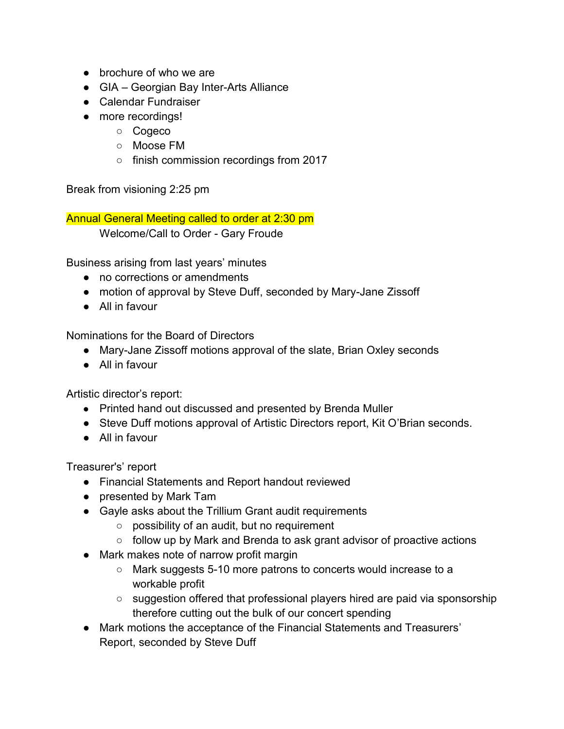- brochure of who we are
- GIA Georgian Bay Inter-Arts Alliance
- Calendar Fundraiser
- more recordings!
	- Cogeco
	- Moose FM
	- finish commission recordings from 2017

Break from visioning 2:25 pm

Annual General Meeting called to order at 2:30 pm Welcome/Call to Order - Gary Froude

Business arising from last years' minutes

- no corrections or amendments
- motion of approval by Steve Duff, seconded by Mary-Jane Zissoff
- All in favour

Nominations for the Board of Directors

- Mary-Jane Zissoff motions approval of the slate, Brian Oxley seconds
- All in favour

Artistic director's report:

- Printed hand out discussed and presented by Brenda Muller
- Steve Duff motions approval of Artistic Directors report, Kit O'Brian seconds.
- All in favour

Treasurer's' report

- Financial Statements and Report handout reviewed
- presented by Mark Tam
- Gayle asks about the Trillium Grant audit requirements
	- possibility of an audit, but no requirement
	- follow up by Mark and Brenda to ask grant advisor of proactive actions
- Mark makes note of narrow profit margin
	- Mark suggests 5-10 more patrons to concerts would increase to a workable profit
	- suggestion offered that professional players hired are paid via sponsorship therefore cutting out the bulk of our concert spending
- Mark motions the acceptance of the Financial Statements and Treasurers' Report, seconded by Steve Duff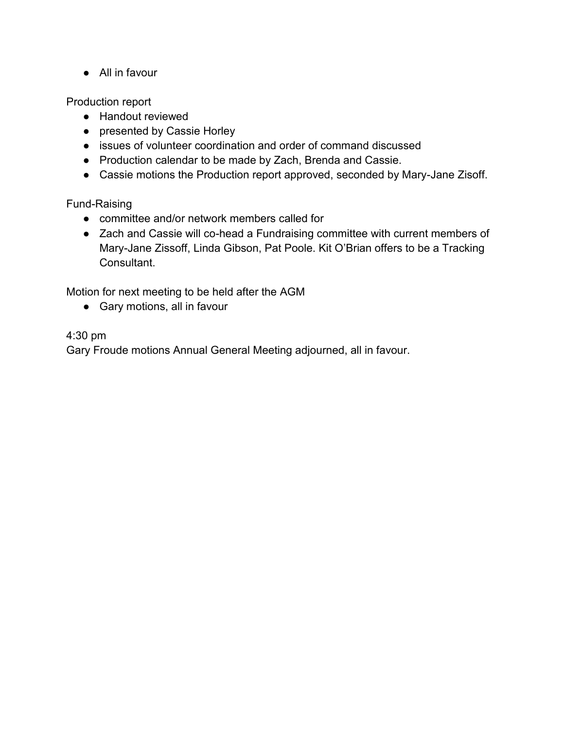● All in favour

Production report

- Handout reviewed
- presented by Cassie Horley
- issues of volunteer coordination and order of command discussed
- Production calendar to be made by Zach, Brenda and Cassie.
- Cassie motions the Production report approved, seconded by Mary-Jane Zisoff.

Fund-Raising

- committee and/or network members called for
- Zach and Cassie will co-head a Fundraising committee with current members of Mary-Jane Zissoff, Linda Gibson, Pat Poole. Kit O'Brian offers to be a Tracking Consultant.

Motion for next meeting to be held after the AGM

● Gary motions, all in favour

4:30 pm

Gary Froude motions Annual General Meeting adjourned, all in favour.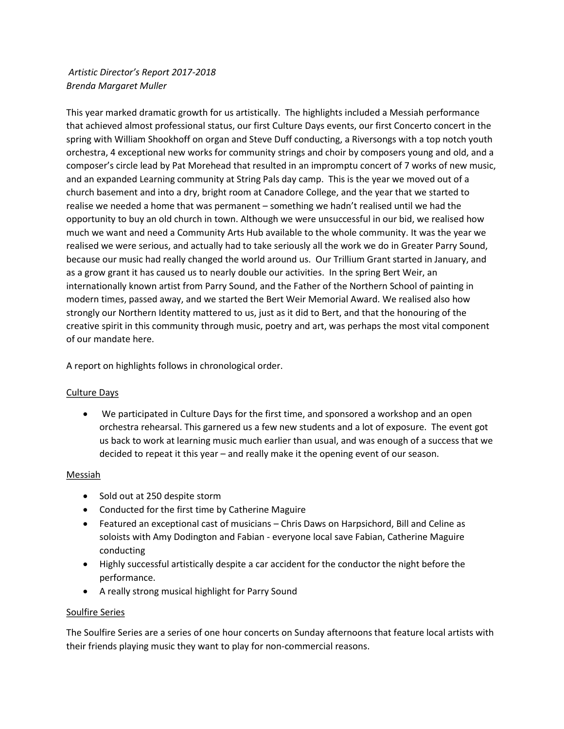*Artistic Director*'*s Report 2017-2018 Brenda Margaret Muller* 

This year marked dramatic growth for us artistically. The highlights included a Messiah performance that achieved almost professional status, our first Culture Days events, our first Concerto concert in the spring with William Shookhoff on organ and Steve Duff conducting, a Riversongs with a top notch youth orchestra, 4 exceptional new works for community strings and choir by composers young and old, and a composer's circle lead by Pat Morehead that resulted in an impromptu concert of 7 works of new music, and an expanded Learning community at String Pals day camp. This is the year we moved out of a church basement and into a dry, bright room at Canadore College, and the year that we started to realise we needed a home that was permanent – something we hadn't realised until we had the opportunity to buy an old church in town. Although we were unsuccessful in our bid, we realised how much we want and need a Community Arts Hub available to the whole community. It was the year we realised we were serious, and actually had to take seriously all the work we do in Greater Parry Sound, because our music had really changed the world around us. Our Trillium Grant started in January, and as a grow grant it has caused us to nearly double our activities. In the spring Bert Weir, an internationally known artist from Parry Sound, and the Father of the Northern School of painting in modern times, passed away, and we started the Bert Weir Memorial Award. We realised also how strongly our Northern Identity mattered to us, just as it did to Bert, and that the honouring of the creative spirit in this community through music, poetry and art, was perhaps the most vital component of our mandate here.

A report on highlights follows in chronological order.

#### Culture Days

• We participated in Culture Days for the first time, and sponsored a workshop and an open orchestra rehearsal. This garnered us a few new students and a lot of exposure. The event got us back to work at learning music much earlier than usual, and was enough of a success that we decided to repeat it this year – and really make it the opening event of our season.

#### Messiah

- Sold out at 250 despite storm
- Conducted for the first time by Catherine Maguire
- Featured an exceptional cast of musicians Chris Daws on Harpsichord, Bill and Celine as soloists with Amy Dodington and Fabian - everyone local save Fabian, Catherine Maguire conducting
- Highly successful artistically despite a car accident for the conductor the night before the performance.
- A really strong musical highlight for Parry Sound

#### Soulfire Series

The Soulfire Series are a series of one hour concerts on Sunday afternoons that feature local artists with their friends playing music they want to play for non-commercial reasons.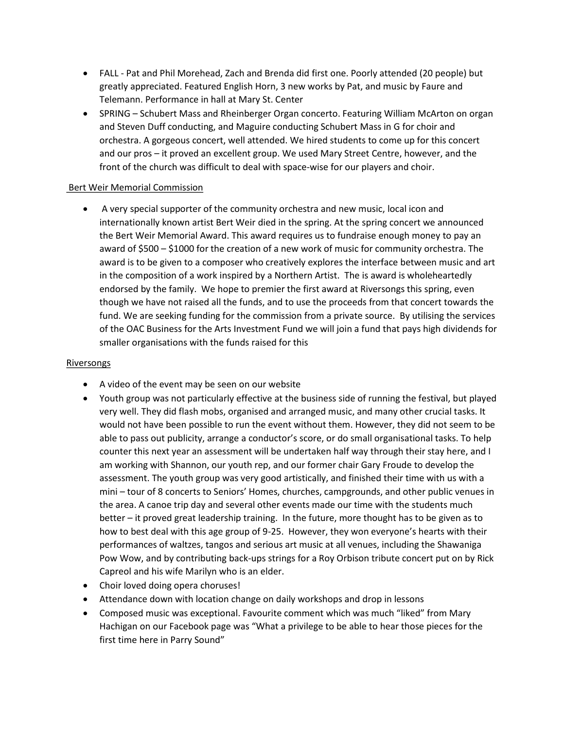- FALL Pat and Phil Morehead, Zach and Brenda did first one. Poorly attended (20 people) but greatly appreciated. Featured English Horn, 3 new works by Pat, and music by Faure and Telemann. Performance in hall at Mary St. Center
- SPRING Schubert Mass and Rheinberger Organ concerto. Featuring William McArton on organ and Steven Duff conducting, and Maguire conducting Schubert Mass in G for choir and orchestra. A gorgeous concert, well attended. We hired students to come up for this concert and our pros – it proved an excellent group. We used Mary Street Centre, however, and the front of the church was difficult to deal with space-wise for our players and choir.

#### Bert Weir Memorial Commission

• A very special supporter of the community orchestra and new music, local icon and internationally known artist Bert Weir died in the spring. At the spring concert we announced the Bert Weir Memorial Award. This award requires us to fundraise enough money to pay an award of \$500 – \$1000 for the creation of a new work of music for community orchestra. The award is to be given to a composer who creatively explores the interface between music and art in the composition of a work inspired by a Northern Artist. The is award is wholeheartedly endorsed by the family. We hope to premier the first award at Riversongs this spring, even though we have not raised all the funds, and to use the proceeds from that concert towards the fund. We are seeking funding for the commission from a private source. By utilising the services of the OAC Business for the Arts Investment Fund we will join a fund that pays high dividends for smaller organisations with the funds raised for this

#### Riversongs

- A video of the event may be seen on our website
- Youth group was not particularly effective at the business side of running the festival, but played very well. They did flash mobs, organised and arranged music, and many other crucial tasks. It would not have been possible to run the event without them. However, they did not seem to be able to pass out publicity, arrange a conductor's score, or do small organisational tasks. To help counter this next year an assessment will be undertaken half way through their stay here, and I am working with Shannon, our youth rep, and our former chair Gary Froude to develop the assessment. The youth group was very good artistically, and finished their time with us with a mini – tour of 8 concerts to Seniors' Homes, churches, campgrounds, and other public venues in the area. A canoe trip day and several other events made our time with the students much better – it proved great leadership training. In the future, more thought has to be given as to how to best deal with this age group of 9-25. However, they won everyone's hearts with their performances of waltzes, tangos and serious art music at all venues, including the Shawaniga Pow Wow, and by contributing back-ups strings for a Roy Orbison tribute concert put on by Rick Capreol and his wife Marilyn who is an elder.
- Choir loved doing opera choruses!
- Attendance down with location change on daily workshops and drop in lessons
- Composed music was exceptional. Favourite comment which was much "liked" from Mary Hachigan on our Facebook page was "What a privilege to be able to hear those pieces for the first time here in Parry Sound"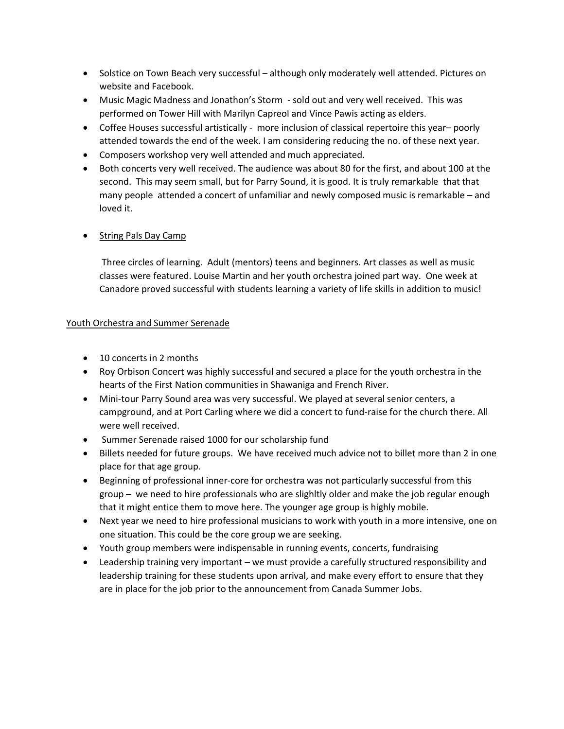- Solstice on Town Beach very successful although only moderately well attended. Pictures on website and Facebook.
- Music Magic Madness and Jonathon's Storm sold out and very well received. This was performed on Tower Hill with Marilyn Capreol and Vince Pawis acting as elders.
- Coffee Houses successful artistically more inclusion of classical repertoire this year– poorly attended towards the end of the week. I am considering reducing the no. of these next year.
- Composers workshop very well attended and much appreciated.
- Both concerts very well received. The audience was about 80 for the first, and about 100 at the second. This may seem small, but for Parry Sound, it is good. It is truly remarkable that that many people attended a concert of unfamiliar and newly composed music is remarkable – and loved it.

#### String Pals Day Camp

 Three circles of learning. Adult (mentors) teens and beginners. Art classes as well as music classes were featured. Louise Martin and her youth orchestra joined part way. One week at Canadore proved successful with students learning a variety of life skills in addition to music!

#### Youth Orchestra and Summer Serenade

- 10 concerts in 2 months
- Roy Orbison Concert was highly successful and secured a place for the youth orchestra in the hearts of the First Nation communities in Shawaniga and French River.
- Mini-tour Parry Sound area was very successful. We played at several senior centers, a campground, and at Port Carling where we did a concert to fund-raise for the church there. All were well received.
- Summer Serenade raised 1000 for our scholarship fund
- Billets needed for future groups. We have received much advice not to billet more than 2 in one place for that age group.
- Beginning of professional inner-core for orchestra was not particularly successful from this group – we need to hire professionals who are slighltly older and make the job regular enough that it might entice them to move here. The younger age group is highly mobile.
- Next year we need to hire professional musicians to work with youth in a more intensive, one on one situation. This could be the core group we are seeking.
- Youth group members were indispensable in running events, concerts, fundraising
- Leadership training very important we must provide a carefully structured responsibility and leadership training for these students upon arrival, and make every effort to ensure that they are in place for the job prior to the announcement from Canada Summer Jobs.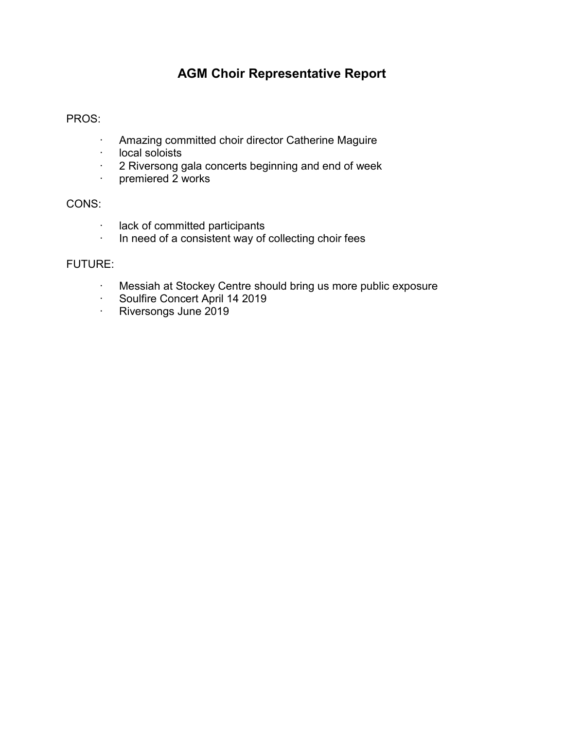### **AGM Choir Representative Report**

#### PROS:

- · Amazing committed choir director Catherine Maguire
- · local soloists
- · 2 Riversong gala concerts beginning and end of week
- · premiered 2 works

#### CONS:

- · lack of committed participants
- · In need of a consistent way of collecting choir fees

#### FUTURE:

- · Messiah at Stockey Centre should bring us more public exposure
- · Soulfire Concert April 14 2019
- · Riversongs June 2019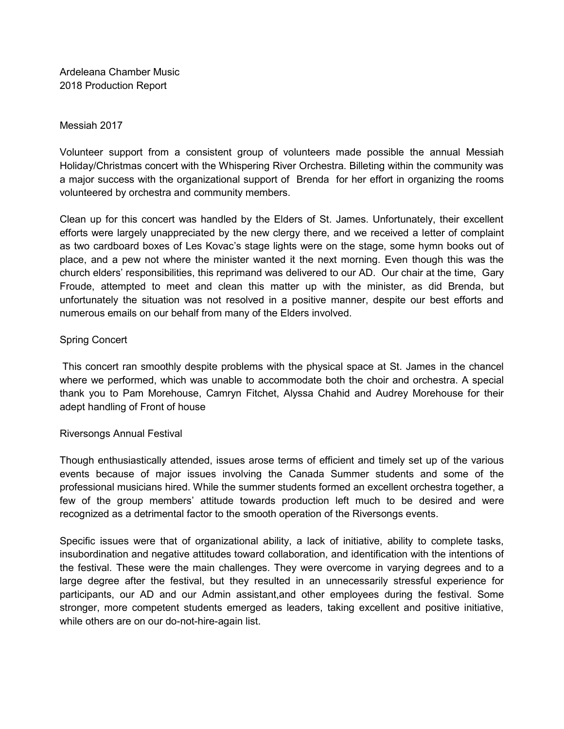Ardeleana Chamber Music 2018 Production Report

#### Messiah 2017

Volunteer support from a consistent group of volunteers made possible the annual Messiah Holiday/Christmas concert with the Whispering River Orchestra. Billeting within the community was a major success with the organizational support of Brenda for her effort in organizing the rooms volunteered by orchestra and community members.

Clean up for this concert was handled by the Elders of St. James. Unfortunately, their excellent efforts were largely unappreciated by the new clergy there, and we received a letter of complaint as two cardboard boxes of Les Kovac's stage lights were on the stage, some hymn books out of place, and a pew not where the minister wanted it the next morning. Even though this was the church elders' responsibilities, this reprimand was delivered to our AD. Our chair at the time, Gary Froude, attempted to meet and clean this matter up with the minister, as did Brenda, but unfortunately the situation was not resolved in a positive manner, despite our best efforts and numerous emails on our behalf from many of the Elders involved.

#### Spring Concert

 This concert ran smoothly despite problems with the physical space at St. James in the chancel where we performed, which was unable to accommodate both the choir and orchestra. A special thank you to Pam Morehouse, Camryn Fitchet, Alyssa Chahid and Audrey Morehouse for their adept handling of Front of house

#### Riversongs Annual Festival

Though enthusiastically attended, issues arose terms of efficient and timely set up of the various events because of major issues involving the Canada Summer students and some of the professional musicians hired. While the summer students formed an excellent orchestra together, a few of the group members' attitude towards production left much to be desired and were recognized as a detrimental factor to the smooth operation of the Riversongs events.

Specific issues were that of organizational ability, a lack of initiative, ability to complete tasks, insubordination and negative attitudes toward collaboration, and identification with the intentions of the festival. These were the main challenges. They were overcome in varying degrees and to a large degree after the festival, but they resulted in an unnecessarily stressful experience for participants, our AD and our Admin assistant,and other employees during the festival. Some stronger, more competent students emerged as leaders, taking excellent and positive initiative, while others are on our do-not-hire-again list.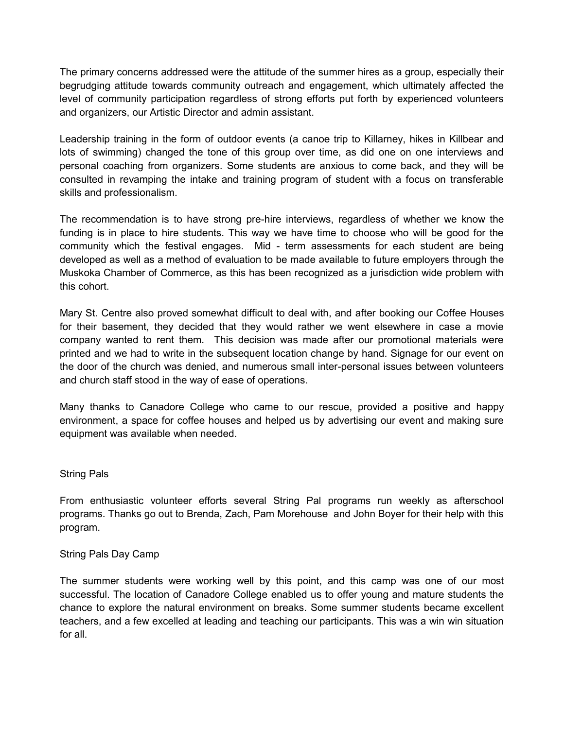The primary concerns addressed were the attitude of the summer hires as a group, especially their begrudging attitude towards community outreach and engagement, which ultimately affected the level of community participation regardless of strong efforts put forth by experienced volunteers and organizers, our Artistic Director and admin assistant.

Leadership training in the form of outdoor events (a canoe trip to Killarney, hikes in Killbear and lots of swimming) changed the tone of this group over time, as did one on one interviews and personal coaching from organizers. Some students are anxious to come back, and they will be consulted in revamping the intake and training program of student with a focus on transferable skills and professionalism.

The recommendation is to have strong pre-hire interviews, regardless of whether we know the funding is in place to hire students. This way we have time to choose who will be good for the community which the festival engages. Mid - term assessments for each student are being developed as well as a method of evaluation to be made available to future employers through the Muskoka Chamber of Commerce, as this has been recognized as a jurisdiction wide problem with this cohort.

Mary St. Centre also proved somewhat difficult to deal with, and after booking our Coffee Houses for their basement, they decided that they would rather we went elsewhere in case a movie company wanted to rent them. This decision was made after our promotional materials were printed and we had to write in the subsequent location change by hand. Signage for our event on the door of the church was denied, and numerous small inter-personal issues between volunteers and church staff stood in the way of ease of operations.

Many thanks to Canadore College who came to our rescue, provided a positive and happy environment, a space for coffee houses and helped us by advertising our event and making sure equipment was available when needed.

#### String Pals

From enthusiastic volunteer efforts several String Pal programs run weekly as afterschool programs. Thanks go out to Brenda, Zach, Pam Morehouse and John Boyer for their help with this program.

#### String Pals Day Camp

The summer students were working well by this point, and this camp was one of our most successful. The location of Canadore College enabled us to offer young and mature students the chance to explore the natural environment on breaks. Some summer students became excellent teachers, and a few excelled at leading and teaching our participants. This was a win win situation for all.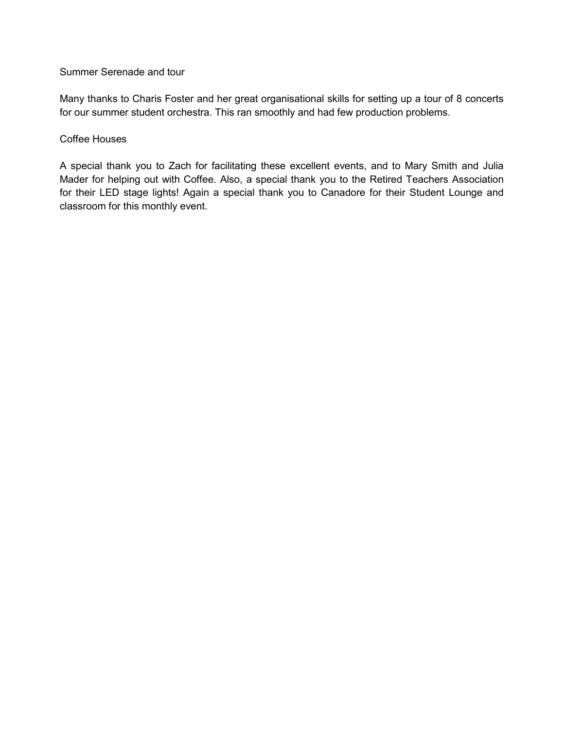Summer Serenade and tour

Many thanks to Charis Foster and her great organisational skills for setting up a tour of 8 concerts for our summer student orchestra. This ran smoothly and had few production problems.

#### Coffee Houses

A special thank you to Zach for facilitating these excellent events, and to Mary Smith and Julia Mader for helping out with Coffee. Also, a special thank you to the Retired Teachers Association for their LED stage lights! Again a special thank you to Canadore for their Student Lounge and classroom for this monthly event.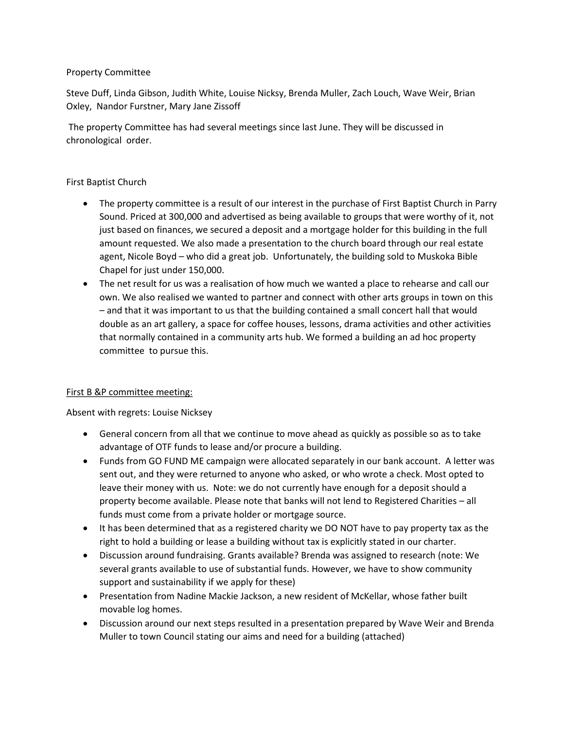#### Property Committee

Steve Duff, Linda Gibson, Judith White, Louise Nicksy, Brenda Muller, Zach Louch, Wave Weir, Brian Oxley, Nandor Furstner, Mary Jane Zissoff

 The property Committee has had several meetings since last June. They will be discussed in chronological order.

#### First Baptist Church

- The property committee is a result of our interest in the purchase of First Baptist Church in Parry Sound. Priced at 300,000 and advertised as being available to groups that were worthy of it, not just based on finances, we secured a deposit and a mortgage holder for this building in the full amount requested. We also made a presentation to the church board through our real estate agent, Nicole Boyd – who did a great job. Unfortunately, the building sold to Muskoka Bible Chapel for just under 150,000.
- The net result for us was a realisation of how much we wanted a place to rehearse and call our own. We also realised we wanted to partner and connect with other arts groups in town on this – and that it was important to us that the building contained a small concert hall that would double as an art gallery, a space for coffee houses, lessons, drama activities and other activities that normally contained in a community arts hub. We formed a building an ad hoc property committee to pursue this.

#### First B &P committee meeting:

Absent with regrets: Louise Nicksey

- General concern from all that we continue to move ahead as quickly as possible so as to take advantage of OTF funds to lease and/or procure a building.
- Funds from GO FUND ME campaign were allocated separately in our bank account. A letter was sent out, and they were returned to anyone who asked, or who wrote a check. Most opted to leave their money with us. Note: we do not currently have enough for a deposit should a property become available. Please note that banks will not lend to Registered Charities – all funds must come from a private holder or mortgage source.
- It has been determined that as a registered charity we DO NOT have to pay property tax as the right to hold a building or lease a building without tax is explicitly stated in our charter.
- Discussion around fundraising. Grants available? Brenda was assigned to research (note: We several grants available to use of substantial funds. However, we have to show community support and sustainability if we apply for these)
- Presentation from Nadine Mackie Jackson, a new resident of McKellar, whose father built movable log homes.
- Discussion around our next steps resulted in a presentation prepared by Wave Weir and Brenda Muller to town Council stating our aims and need for a building (attached)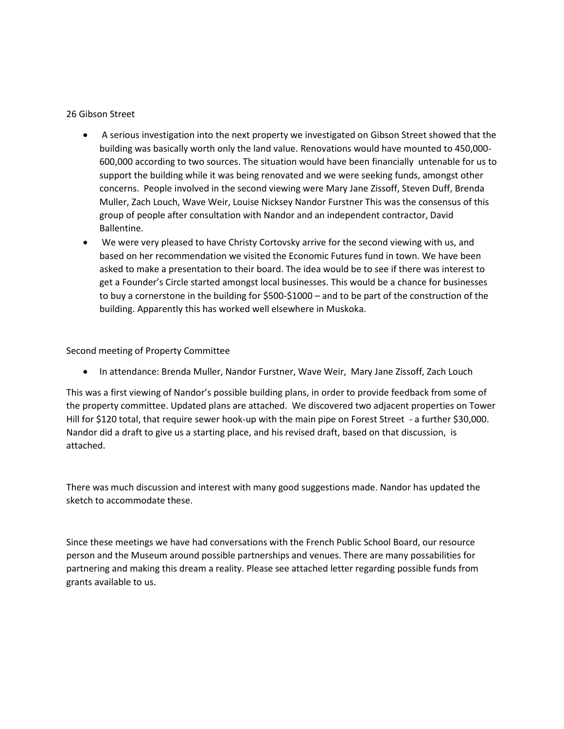#### 26 Gibson Street

- x A serious investigation into the next property we investigated on Gibson Street showed that the building was basically worth only the land value. Renovations would have mounted to 450,000- 600,000 according to two sources. The situation would have been financially untenable for us to support the building while it was being renovated and we were seeking funds, amongst other concerns. People involved in the second viewing were Mary Jane Zissoff, Steven Duff, Brenda Muller, Zach Louch, Wave Weir, Louise Nicksey Nandor Furstner This was the consensus of this group of people after consultation with Nandor and an independent contractor, David Ballentine.
- We were very pleased to have Christy Cortovsky arrive for the second viewing with us, and based on her recommendation we visited the Economic Futures fund in town. We have been asked to make a presentation to their board. The idea would be to see if there was interest to get a Founder's Circle started amongst local businesses. This would be a chance for businesses to buy a cornerstone in the building for \$500-\$1000 – and to be part of the construction of the building. Apparently this has worked well elsewhere in Muskoka.

Second meeting of Property Committee

In attendance: Brenda Muller, Nandor Furstner, Wave Weir, Mary Jane Zissoff, Zach Louch

This was a first viewing of Nandor's possible building plans, in order to provide feedback from some of the property committee. Updated plans are attached. We discovered two adjacent properties on Tower Hill for \$120 total, that require sewer hook-up with the main pipe on Forest Street - a further \$30,000. Nandor did a draft to give us a starting place, and his revised draft, based on that discussion, is attached.

There was much discussion and interest with many good suggestions made. Nandor has updated the sketch to accommodate these.

Since these meetings we have had conversations with the French Public School Board, our resource person and the Museum around possible partnerships and venues. There are many possabilities for partnering and making this dream a reality. Please see attached letter regarding possible funds from grants available to us.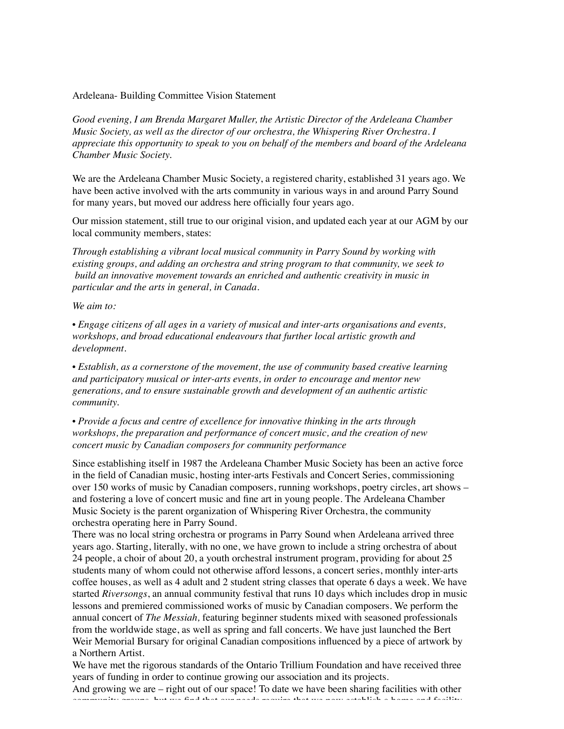#### Ardeleana- Building Committee Vision Statement

*Good evening, I am Brenda Margaret Muller, the Artistic Director of the Ardeleana Chamber Music Society, as well as the director of our orchestra, the Whispering River Orchestra. I appreciate this opportunity to speak to you on behalf of the members and board of the Ardeleana Chamber Music Society.* 

We are the Ardeleana Chamber Music Society, a registered charity, established 31 years ago. We have been active involved with the arts community in various ways in and around Parry Sound for many years, but moved our address here officially four years ago.

Our mission statement, still true to our original vision, and updated each year at our AGM by our local community members, states:

*Through establishing a vibrant local musical community in Parry Sound by working with existing groups, and adding an orchestra and string program to that community, we seek to build an innovative movement towards an enriched and authentic creativity in music in particular and the arts in general, in Canada.* 

*We aim to:* 

• *Engage citizens of all ages in a variety of musical and inter-arts organisations and events, workshops, and broad educational endeavours that further local artistic growth and development.* 

• *Establish, as a cornerstone of the movement, the use of community based creative learning and participatory musical or inter-arts events, in order to encourage and mentor new generations, and to ensure sustainable growth and development of an authentic artistic community.* 

• *Provide a focus and centre of excellence for innovative thinking in the arts through workshops, the preparation and performance of concert music, and the creation of new concert music by Canadian composers for community performance*

Since establishing itself in 1987 the Ardeleana Chamber Music Society has been an active force in the field of Canadian music, hosting inter-arts Festivals and Concert Series, commissioning over 150 works of music by Canadian composers, running workshops, poetry circles, art shows – and fostering a love of concert music and fine art in young people. The Ardeleana Chamber Music Society is the parent organization of Whispering River Orchestra, the community orchestra operating here in Parry Sound.

There was no local string orchestra or programs in Parry Sound when Ardeleana arrived three years ago. Starting, literally, with no one, we have grown to include a string orchestra of about 24 people, a choir of about 20, a youth orchestral instrument program, providing for about 25 students many of whom could not otherwise afford lessons, a concert series, monthly inter-arts coffee houses, as well as 4 adult and 2 student string classes that operate 6 days a week. We have started *Riversongs*, an annual community festival that runs 10 days which includes drop in music lessons and premiered commissioned works of music by Canadian composers. We perform the annual concert of *The Messiah,* featuring beginner students mixed with seasoned professionals from the worldwide stage, as well as spring and fall concerts. We have just launched the Bert Weir Memorial Bursary for original Canadian compositions influenced by a piece of artwork by a Northern Artist.

We have met the rigorous standards of the Ontario Trillium Foundation and have received three years of funding in order to continue growing our association and its projects.

And growing we are – right out of our space! To date we have been sharing facilities with other community groups, but we find that our needs require that we now establish a home and facility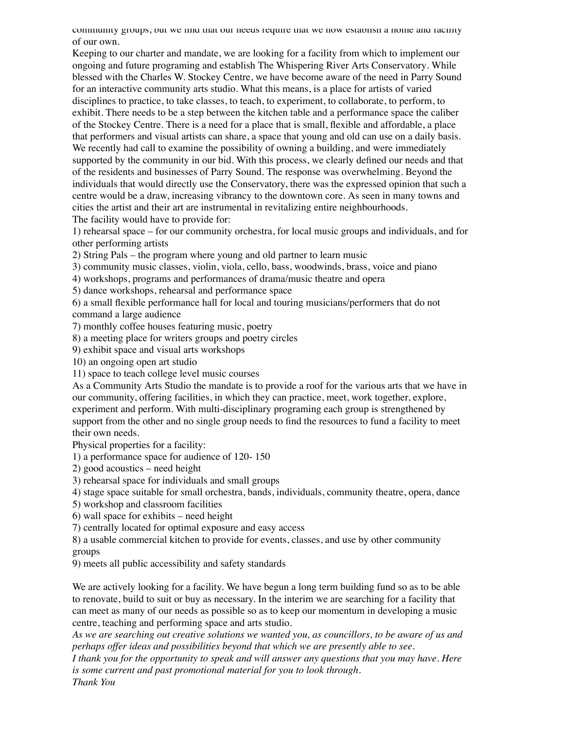community groups, but we find that our needs require that we now establish a nome and facility of our own.

Keeping to our charter and mandate, we are looking for a facility from which to implement our ongoing and future programing and establish The Whispering River Arts Conservatory. While blessed with the Charles W. Stockey Centre, we have become aware of the need in Parry Sound for an interactive community arts studio. What this means, is a place for artists of varied disciplines to practice, to take classes, to teach, to experiment, to collaborate, to perform, to exhibit. There needs to be a step between the kitchen table and a performance space the caliber of the Stockey Centre. There is a need for a place that is small, flexible and affordable, a place that performers and visual artists can share, a space that young and old can use on a daily basis. We recently had call to examine the possibility of owning a building, and were immediately supported by the community in our bid. With this process, we clearly defined our needs and that of the residents and businesses of Parry Sound. The response was overwhelming. Beyond the individuals that would directly use the Conservatory, there was the expressed opinion that such a centre would be a draw, increasing vibrancy to the downtown core. As seen in many towns and cities the artist and their art are instrumental in revitalizing entire neighbourhoods. The facility would have to provide for:

1) rehearsal space – for our community orchestra, for local music groups and individuals, and for other performing artists

2) String Pals – the program where young and old partner to learn music

3) community music classes, violin, viola, cello, bass, woodwinds, brass, voice and piano

4) workshops, programs and performances of drama/music theatre and opera

5) dance workshops, rehearsal and performance space

6) a small flexible performance hall for local and touring musicians/performers that do not command a large audience

7) monthly coffee houses featuring music, poetry

8) a meeting place for writers groups and poetry circles

9) exhibit space and visual arts workshops

10) an ongoing open art studio

11) space to teach college level music courses

As a Community Arts Studio the mandate is to provide a roof for the various arts that we have in our community, offering facilities, in which they can practice, meet, work together, explore, experiment and perform. With multi-disciplinary programing each group is strengthened by support from the other and no single group needs to find the resources to fund a facility to meet their own needs.

Physical properties for a facility:

1) a performance space for audience of 120- 150

2) good acoustics – need height

3) rehearsal space for individuals and small groups

4) stage space suitable for small orchestra, bands, individuals, community theatre, opera, dance

5) workshop and classroom facilities

6) wall space for exhibits – need height

7) centrally located for optimal exposure and easy access

8) a usable commercial kitchen to provide for events, classes, and use by other community groups

9) meets all public accessibility and safety standards

We are actively looking for a facility. We have begun a long term building fund so as to be able to renovate, build to suit or buy as necessary. In the interim we are searching for a facility that can meet as many of our needs as possible so as to keep our momentum in developing a music centre, teaching and performing space and arts studio.

*As we are searching out creative solutions we wanted you, as councillors, to be aware of us and perhaps offer ideas and possibilities beyond that which we are presently able to see.*

*I thank you for the opportunity to speak and will answer any questions that you may have. Here is some current and past promotional material for you to look through. Thank You*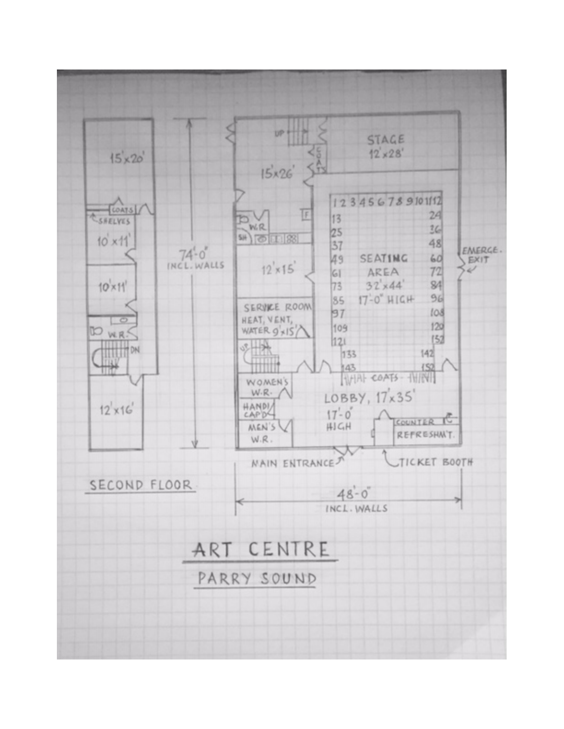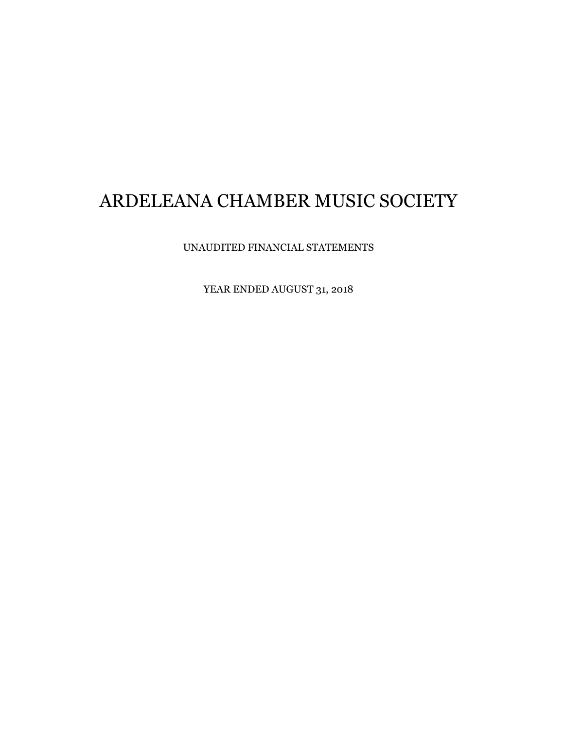UNAUDITED FINANCIAL STATEMENTS

YEAR ENDED AUGUST 31, 2018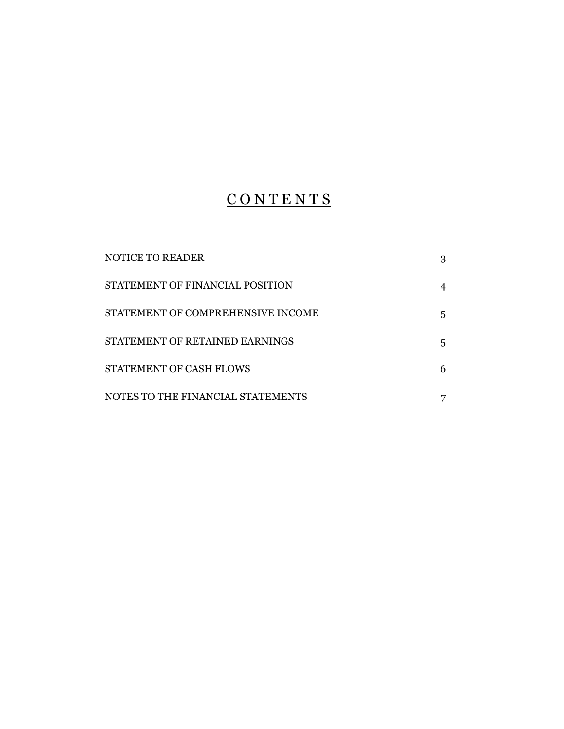## **CONTENTS**

| NOTICE TO READER                  | 3 |
|-----------------------------------|---|
| STATEMENT OF FINANCIAL POSITION   | 4 |
| STATEMENT OF COMPREHENSIVE INCOME | 5 |
| STATEMENT OF RETAINED EARNINGS    | 5 |
| STATEMENT OF CASH FLOWS           | 6 |
| NOTES TO THE FINANCIAL STATEMENTS |   |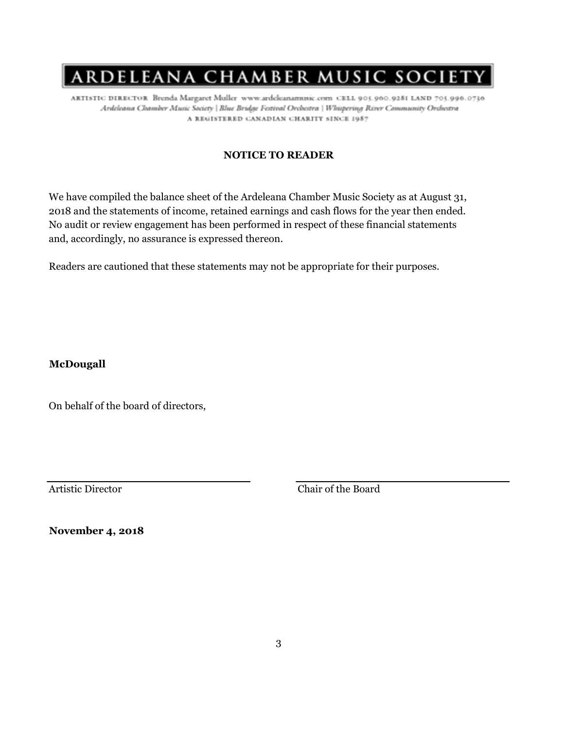ARTISTIC DIRECTOR Brenda Margaret Muller www.ardeleanamusic.com CELL 905.960.9281 LAND 705.996.0736 Ardeleana Chamber Music Society | Blue Bridge Festival Orchestra | Whispering River Community Orchestra A REGISTERED CANADIAN CHARITY SINCE 1987

#### **NOTICE TO READER**

We have compiled the balance sheet of the Ardeleana Chamber Music Society as at August 31, 2018 and the statements of income, retained earnings and cash flows for the year then ended. No audit or review engagement has been performed in respect of these financial statements and, accordingly, no assurance is expressed thereon.

Readers are cautioned that these statements may not be appropriate for their purposes.

**McDougall**

On behalf of the board of directors,

Artistic Director Chair of the Board

**November 4, 2018**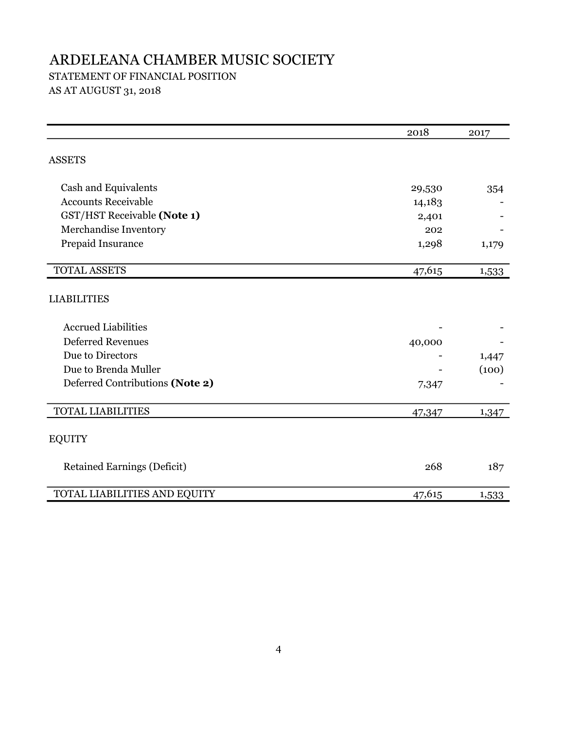### STATEMENT OF FINANCIAL POSITION

AS AT AUGUST 31, 2018

|                                    | 2018   | 2017  |
|------------------------------------|--------|-------|
| <b>ASSETS</b>                      |        |       |
| Cash and Equivalents               | 29,530 | 354   |
| <b>Accounts Receivable</b>         | 14,183 |       |
| GST/HST Receivable (Note 1)        | 2,401  |       |
| Merchandise Inventory              | 202    |       |
| Prepaid Insurance                  | 1,298  | 1,179 |
| <b>TOTAL ASSETS</b>                | 47,615 | 1,533 |
| <b>LIABILITIES</b>                 |        |       |
| <b>Accrued Liabilities</b>         |        |       |
| <b>Deferred Revenues</b>           | 40,000 |       |
| Due to Directors                   |        | 1,447 |
| Due to Brenda Muller               |        | (100) |
| Deferred Contributions (Note 2)    | 7,347  |       |
| <b>TOTAL LIABILITIES</b>           | 47,347 | 1,347 |
| <b>EQUITY</b>                      |        |       |
| <b>Retained Earnings (Deficit)</b> | 268    | 187   |
| TOTAL LIABILITIES AND EQUITY       | 47,615 | 1,533 |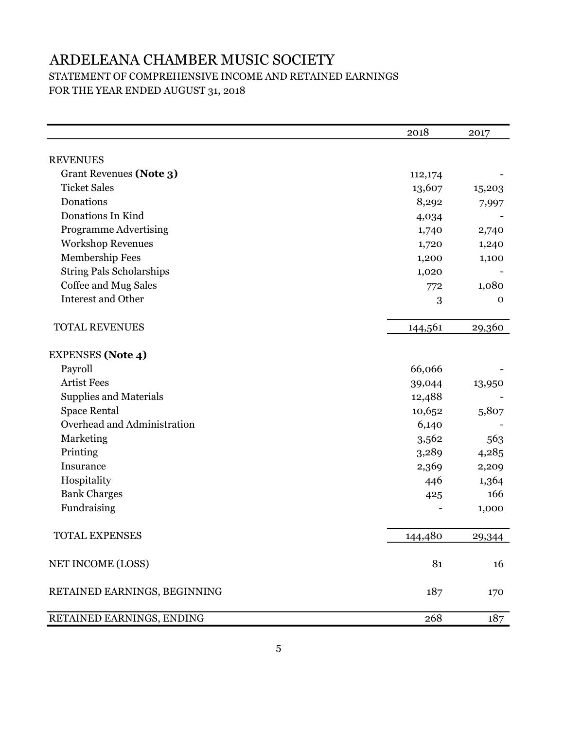### ARDELEANA CHAMBER MUSIC SOCIETY STATEMENT OF COMPREHENSIVE INCOME AND RETAINED EARNINGS FOR THE YEAR ENDED AUGUST 31, 2018

|                                 | 2018    | 2017   |
|---------------------------------|---------|--------|
|                                 |         |        |
| <b>REVENUES</b>                 |         |        |
| Grant Revenues (Note 3)         | 112,174 |        |
| <b>Ticket Sales</b>             | 13,607  | 15,203 |
| Donations                       | 8,292   | 7,997  |
| Donations In Kind               | 4,034   |        |
| <b>Programme Advertising</b>    | 1,740   | 2,740  |
| <b>Workshop Revenues</b>        | 1,720   | 1,240  |
| Membership Fees                 | 1,200   | 1,100  |
| <b>String Pals Scholarships</b> | 1,020   |        |
| Coffee and Mug Sales            | 772     | 1,080  |
| Interest and Other              | 3       | 0      |
| <b>TOTAL REVENUES</b>           | 144,561 | 29,360 |
| <b>EXPENSES</b> (Note 4)        |         |        |
| Payroll                         | 66,066  |        |
| <b>Artist Fees</b>              | 39,044  | 13,950 |
| <b>Supplies and Materials</b>   | 12,488  |        |
| <b>Space Rental</b>             | 10,652  | 5,807  |
| Overhead and Administration     | 6,140   |        |
| Marketing                       | 3,562   | 563    |
| Printing                        | 3,289   | 4,285  |
| Insurance                       | 2,369   | 2,209  |
| Hospitality                     | 446     | 1,364  |
| <b>Bank Charges</b>             | 425     | 166    |
| Fundraising                     |         | 1,000  |
| TOTAL EXPENSES                  | 144,480 | 29,344 |
| NET INCOME (LOSS)               | 81      | 16     |
| RETAINED EARNINGS, BEGINNING    | 187     | 170    |
| RETAINED EARNINGS, ENDING       | 268     | 187    |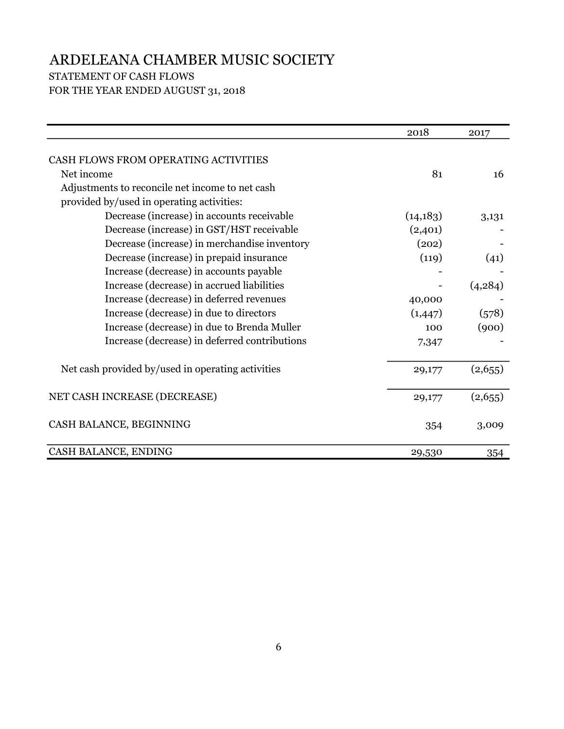### STATEMENT OF CASH FLOWS FOR THE YEAR ENDED AUGUST 31, 2018

|                                                   | 2018      | 2017     |
|---------------------------------------------------|-----------|----------|
| CASH FLOWS FROM OPERATING ACTIVITIES              |           |          |
| Net income                                        | 81        | 16       |
| Adjustments to reconcile net income to net cash   |           |          |
| provided by/used in operating activities:         |           |          |
| Decrease (increase) in accounts receivable        | (14, 183) | 3,131    |
| Decrease (increase) in GST/HST receivable         | (2,401)   |          |
| Decrease (increase) in merchandise inventory      | (202)     |          |
| Decrease (increase) in prepaid insurance          | (119)     | (41)     |
| Increase (decrease) in accounts payable           |           |          |
| Increase (decrease) in accrued liabilities        |           | (4, 284) |
| Increase (decrease) in deferred revenues          | 40,000    |          |
| Increase (decrease) in due to directors           | (1,447)   | (578)    |
| Increase (decrease) in due to Brenda Muller       | 100       | (900)    |
| Increase (decrease) in deferred contributions     | 7,347     |          |
| Net cash provided by/used in operating activities | 29,177    | (2,655)  |
| NET CASH INCREASE (DECREASE)                      | 29,177    | (2,655)  |
| CASH BALANCE, BEGINNING                           | 354       | 3,009    |
| CASH BALANCE, ENDING                              | 29,530    | 354      |